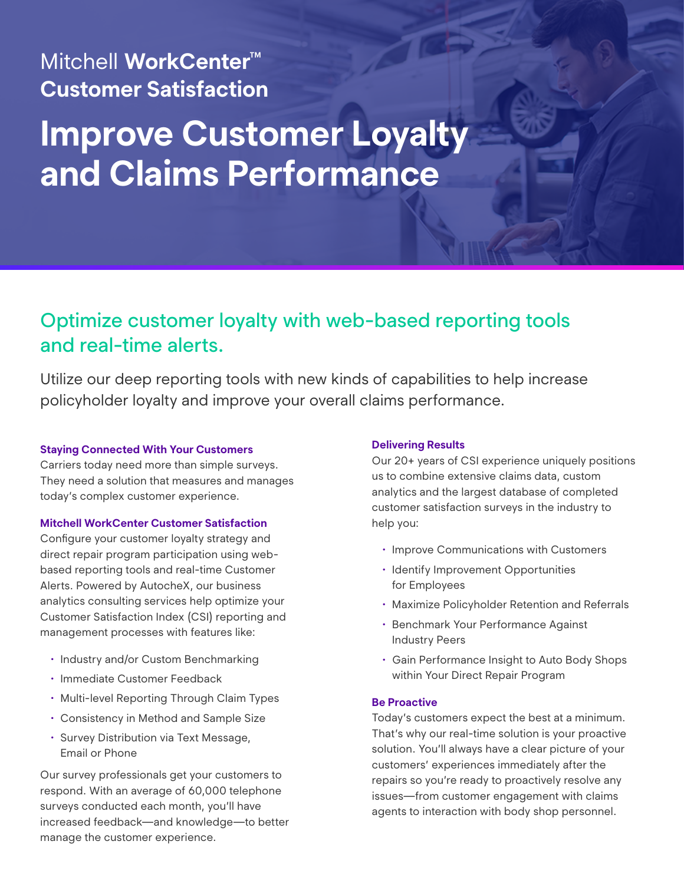## Mitchell **WorkCenter™ Customer Satisfaction**

# **Improve Customer Loyalty and Claims Performance**

## Optimize customer loyalty with web-based reporting tools and real-time alerts.

Utilize our deep reporting tools with new kinds of capabilities to help increase policyholder loyalty and improve your overall claims performance.

#### **Staying Connected With Your Customers**

Carriers today need more than simple surveys. They need a solution that measures and manages today's complex customer experience.

#### **Mitchell WorkCenter Customer Satisfaction**

Configure your customer loyalty strategy and direct repair program participation using webbased reporting tools and real-time Customer Alerts. Powered by AutocheX, our business analytics consulting services help optimize your Customer Satisfaction Index (CSI) reporting and management processes with features like:

- Industry and/or Custom Benchmarking
- Immediate Customer Feedback
- Multi-level Reporting Through Claim Types
- Consistency in Method and Sample Size
- Survey Distribution via Text Message, Email or Phone

Our survey professionals get your customers to respond. With an average of 60,000 telephone surveys conducted each month, you'll have increased feedback—and knowledge—to better manage the customer experience.

#### **Delivering Results**

Our 20+ years of CSI experience uniquely positions us to combine extensive claims data, custom analytics and the largest database of completed customer satisfaction surveys in the industry to help you:

- Improve Communications with Customers
- Identify Improvement Opportunities for Employees
- Maximize Policyholder Retention and Referrals
- Benchmark Your Performance Against Industry Peers
- Gain Performance Insight to Auto Body Shops within Your Direct Repair Program

#### **Be Proactive**

Today's customers expect the best at a minimum. That's why our real-time solution is your proactive solution. You'll always have a clear picture of your customers' experiences immediately after the repairs so you're ready to proactively resolve any issues—from customer engagement with claims agents to interaction with body shop personnel.